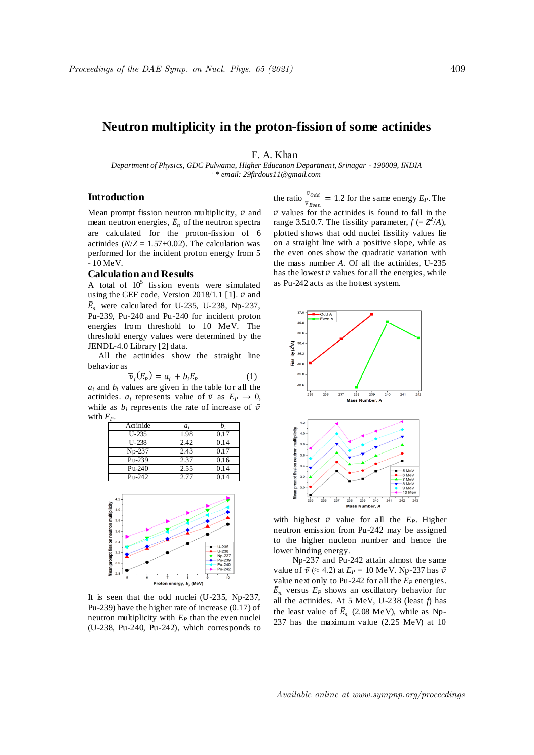# **Neutron multiplicity in the proton-fission of some actinides**

F. A. Khan

*Department of Physics, GDC Pulwama, Higher Education Department, Srinagar - 190009, INDIA . \* email: 29firdous11@gmail.com*

## **Introduction**

Mean prompt fission neutron multiplicity,  $\bar{v}$  and mean neutron energies,  $\bar{E}_n$  of the neutron spectra are calculated for the proton-fission of 6 actinides  $(N/Z = 1.57 \pm 0.02)$ . The calculation was performed for the incident proton energy from 5  $-10$  MeV.

### **Calculation and Results**

A total of  $10^5$  fission events were simulated using the GEF code, Version 2018/1.1 [1].  $\bar{v}$  and  $\bar{E}_n$  were calculated for U-235, U-238, Np-237, Pu-239, Pu-240 and Pu-240 for incident proton energies from threshold to 10 MeV. The threshold energy values were determined by the JENDL-4.0 Library [2] data.

 All the actinides show the straight line behavior as

$$
\overline{\nu}_i(E_P) = a_i + b_i E_P \tag{1}
$$

 $a_i$  and  $b_i$  values are given in the table for all the actinides.  $a_i$  represents value of  $\bar{v}$  as  $E_p \rightarrow 0$ , while as  $b_i$  represents the rate of increase of  $\bar{v}$ with *EP*.

| Actinide  | $a_i$ | $b_i$ |
|-----------|-------|-------|
| $U - 235$ | 1.98  | 0.17  |
| U-238     | 2.42  | 0.14  |
| $Np-237$  | 2.43  | 0.17  |
| Pu-239    | 2.37  | 0.16  |
| $Pu-240$  | 2.55  | 0.14  |
| $Pu-242$  | 2.77  | 0.14  |



It is seen that the odd nuclei (U-235, Np-237, Pu-239) have the higher rate of increase (0.17) of neutron multiplicity with  $E_P$  than the even nuclei (U-238, Pu-240, Pu-242), which corresponds to

the ratio  $\frac{\bar{v}_{\text{Odd}}}{\bar{v}_{\text{Even}}}$  = 1.2 for the same energy  $E_P$ . The  $\overline{v}$  values for the actinides is found to fall in the range 3.5 $\pm$ 0.7. The fissility parameter,  $f = Z^2/A$ ), plotted shows that odd nuclei fissility values lie on a straight line with a positive slope, while as the even ones show the quadratic variation with the mass number *A*. Of all the actinides, U-235 has the lowest  $\bar{v}$  values for all the energies, while as Pu-242 acts as the hottest system.



with highest  $\bar{v}$  value for all the  $E_p$ . Higher neutron emission from Pu-242 may be assigned to the higher nucleon number and hence the lower binding energy.

Np-237 and Pu-242 attain almost the same value of  $\bar{v}$  ( $\approx$  4.2) at  $E_P = 10$  MeV. Np-237 has  $\bar{v}$ value next only to Pu-242 for all the  $E_p$  energies.  $\bar{E}_n$  versus  $E_P$  shows an oscillatory behavior for all the actinides. At 5 MeV, U-238 (least *f*) has the least value of  $\bar{E}_n$  (2.08 MeV), while as Np-237 has the maximum value (2.25 MeV) at 10